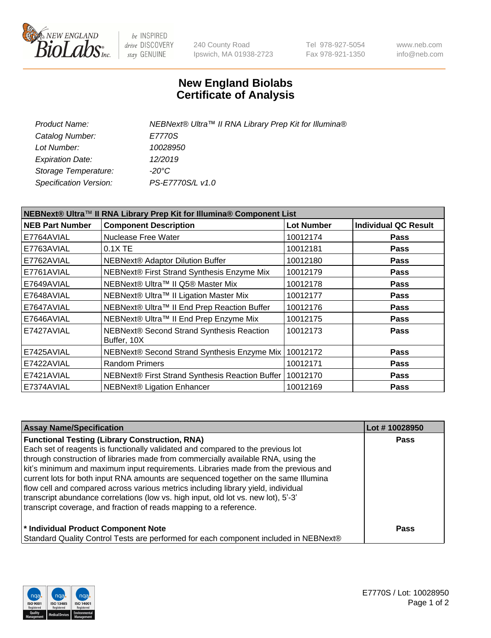

be INSPIRED drive DISCOVERY stay GENUINE

240 County Road Ipswich, MA 01938-2723 Tel 978-927-5054 Fax 978-921-1350 www.neb.com info@neb.com

## **New England Biolabs Certificate of Analysis**

| NEBNext® Ultra™ II RNA Library Prep Kit for Illumina® |
|-------------------------------------------------------|
| E7770S                                                |
| 10028950                                              |
| 12/2019                                               |
| -20°C                                                 |
| PS-E7770S/L v1.0                                      |
|                                                       |

| NEBNext® Ultra™ II RNA Library Prep Kit for Illumina® Component List |                                                            |                   |                             |  |  |
|----------------------------------------------------------------------|------------------------------------------------------------|-------------------|-----------------------------|--|--|
| <b>NEB Part Number</b>                                               | <b>Component Description</b>                               | <b>Lot Number</b> | <b>Individual QC Result</b> |  |  |
| E7764AVIAL                                                           | Nuclease Free Water                                        | 10012174          | <b>Pass</b>                 |  |  |
| E7763AVIAL                                                           | $0.1X$ TE                                                  | 10012181          | <b>Pass</b>                 |  |  |
| E7762AVIAL                                                           | <b>NEBNext® Adaptor Dilution Buffer</b>                    | 10012180          | <b>Pass</b>                 |  |  |
| E7761AVIAL                                                           | NEBNext® First Strand Synthesis Enzyme Mix                 | 10012179          | <b>Pass</b>                 |  |  |
| E7649AVIAL                                                           | NEBNext® Ultra™ II Q5® Master Mix                          | 10012178          | <b>Pass</b>                 |  |  |
| E7648AVIAL                                                           | NEBNext® Ultra™ II Ligation Master Mix                     | 10012177          | <b>Pass</b>                 |  |  |
| E7647AVIAL                                                           | NEBNext® Ultra™ II End Prep Reaction Buffer                | 10012176          | <b>Pass</b>                 |  |  |
| E7646AVIAL                                                           | NEBNext® Ultra™ II End Prep Enzyme Mix                     | 10012175          | <b>Pass</b>                 |  |  |
| E7427AVIAL                                                           | NEBNext® Second Strand Synthesis Reaction<br>Buffer, 10X   | 10012173          | <b>Pass</b>                 |  |  |
| E7425AVIAL                                                           | NEBNext® Second Strand Synthesis Enzyme Mix   10012172     |                   | <b>Pass</b>                 |  |  |
| E7422AVIAL                                                           | <b>Random Primers</b>                                      | 10012171          | <b>Pass</b>                 |  |  |
| E7421AVIAL                                                           | NEBNext® First Strand Synthesis Reaction Buffer   10012170 |                   | <b>Pass</b>                 |  |  |
| E7374AVIAL                                                           | NEBNext® Ligation Enhancer                                 | 10012169          | <b>Pass</b>                 |  |  |

| <b>Assay Name/Specification</b>                                                      | Lot #10028950 |
|--------------------------------------------------------------------------------------|---------------|
| <b>Functional Testing (Library Construction, RNA)</b>                                | <b>Pass</b>   |
| Each set of reagents is functionally validated and compared to the previous lot      |               |
| through construction of libraries made from commercially available RNA, using the    |               |
| kit's minimum and maximum input requirements. Libraries made from the previous and   |               |
| current lots for both input RNA amounts are sequenced together on the same Illumina  |               |
| flow cell and compared across various metrics including library yield, individual    |               |
| transcript abundance correlations (low vs. high input, old lot vs. new lot), 5'-3'   |               |
| transcript coverage, and fraction of reads mapping to a reference.                   |               |
| * Individual Product Component Note                                                  | <b>Pass</b>   |
| Standard Quality Control Tests are performed for each component included in NEBNext® |               |